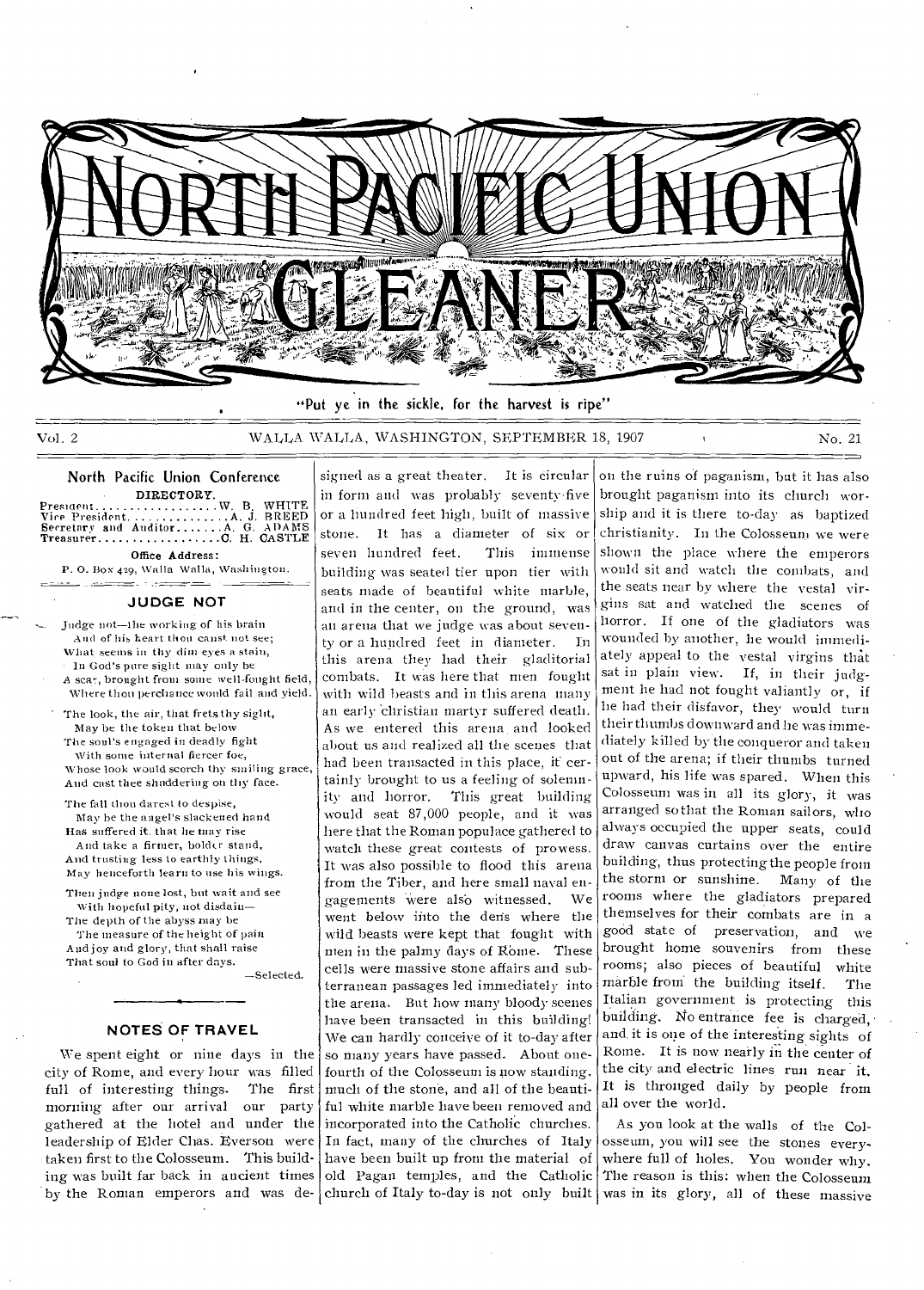

"Put ye in the sickle, for the harvest is ripe"

signed as a great theater. It is circular

Vol. 2 WALLA WALLA, WASHINGTON, SEPTEMBER 18, 1907 No. 21

#### North Pacific Union Conference DIRECTORY

Presment W. B. WHITE  $\ldots \ldots \ldots$  A. J. BREED Secretary and Auditor A G. ADAMS Treasurer C H. CASTLE

Office Address: P. 0. Box 429, Walla Walla, Washington.

<u> a consecutación de la propincia de la p</u>

### **JUDGE NOT**

Judge not—the working of his brain And of his heart thou canst not see; What seems in thy dim eyes a stain, In God's pure sight may only he

A scar, brought from some well-fought field, Where thou perchance would fail and yield.

The look, the air, that frets thy sight, May be the token that below The soul's engaged in deadly fight

With some internal fiercer foe. Whose look would scorch thy smiling grace, And cast thee shuddering on thy face.

The fall thou darest to despise, May he the angel's slackened hand Has suffered it. that he may rise And take a firmer, bolder stand, And trusting less to earthly things, May henceforth learn to use his wings.

Then judge none lost, but wait and see With hopeful pity, not disdain— The depth of the abyss may be The measure of the height of pain

And joy and glory, that shall raise That soul to God in after days.

—Selected.

### **NOTES OF TRAVEL**

We spent eight or nine days in the city of Rome, and every hour was filled full of interesting things. The first morning after our arrival our party gathered at the hotel and under the leadership of Elder Chas. Everson were taken first to the Colosseum. This building was built far back in ancient times by the Roman emperors and was de- church of Italy to-day is not only built was in its glory, all of these massive

in form and was probably seventy-five or a hundred feet high, built of massive stone. It has a diameter of six or seven hundred feet. This immense building was seated tier upon tier with seats made of beautiful white marble, and in the center, on the ground, was an arena that we judge was about seventy or a hundred feet in diameter. In this arena they had their gladitorial combats. It was here that men fought with wild beasts and in this arena many an early christian martyr suffered death. As we entered this arena and looked about us and realized all the scenes that had been transacted in this place, it certainly brought to us a feeling of solemnity and horror. This great building would seat 87,000 people, and it was here that the Roman populace gathered to watch these great contests of prowess. It was also possible to flood this arena from the Tiber, and here small naval engagements were also witnessed. We went below into the den's where the wild beasts were kept that fought with men in the palmy days of Rome. These cells were massive stone affairs and subterranean passages led immediately into the arena. But how many bloody scenes have been transacted in this building! We can hardly conceive of it to-day after so many years have passed. About onefourth of the Colosseum is now standing. much of the stone, and all of the beautiful white marble have been removed and incorporated into the Catholic churches. In fact, many of the churches of Italy have been built up from the material of old Pagan temples, and the Catholic

on the ruins of paganism, but it has also brought paganism into its church worship and it is there to-day as baptized christianity. In the Colosseum we were shown the place where the emperors would sit and watch the combats, and the seats near by where the vestal virgins sat and watched the scenes of horror. If one of the gladiators was wounded by another, he would immediately appeal to the vestal virgins that sat in plain view. If, in their judgment he had not fought valiantly or, if he had their disfavor, they would turn their thumbs downward and he was immediately killed by the conqueror and taken out of the arena; if their thumbs turned upward, his life was spared. When this Colosseum was in all its glory, it was arranged so that the Roman sailors, who always occupied the upper seats, could draw canvas curtains over the entire building, thus protecting the people from the storm or sunshine. Many of the rooms where the gladiators prepared themselves for their combats are in a good state of preservation, and we brought home souvenirs from these rooms; also pieces of beautiful white marble from the building itself. The Italian government is protecting this building. No entrance fee is charged, • and, it is one of the interesting sights of Rome. It is now neatly in the center of the city and electric lines run near it, It is thronged daily by people front all over the world.

As you look at the walls of the Colosseum, you will see the stones everywhere full of holes. You wonder why. The reason is this: when the Colosseum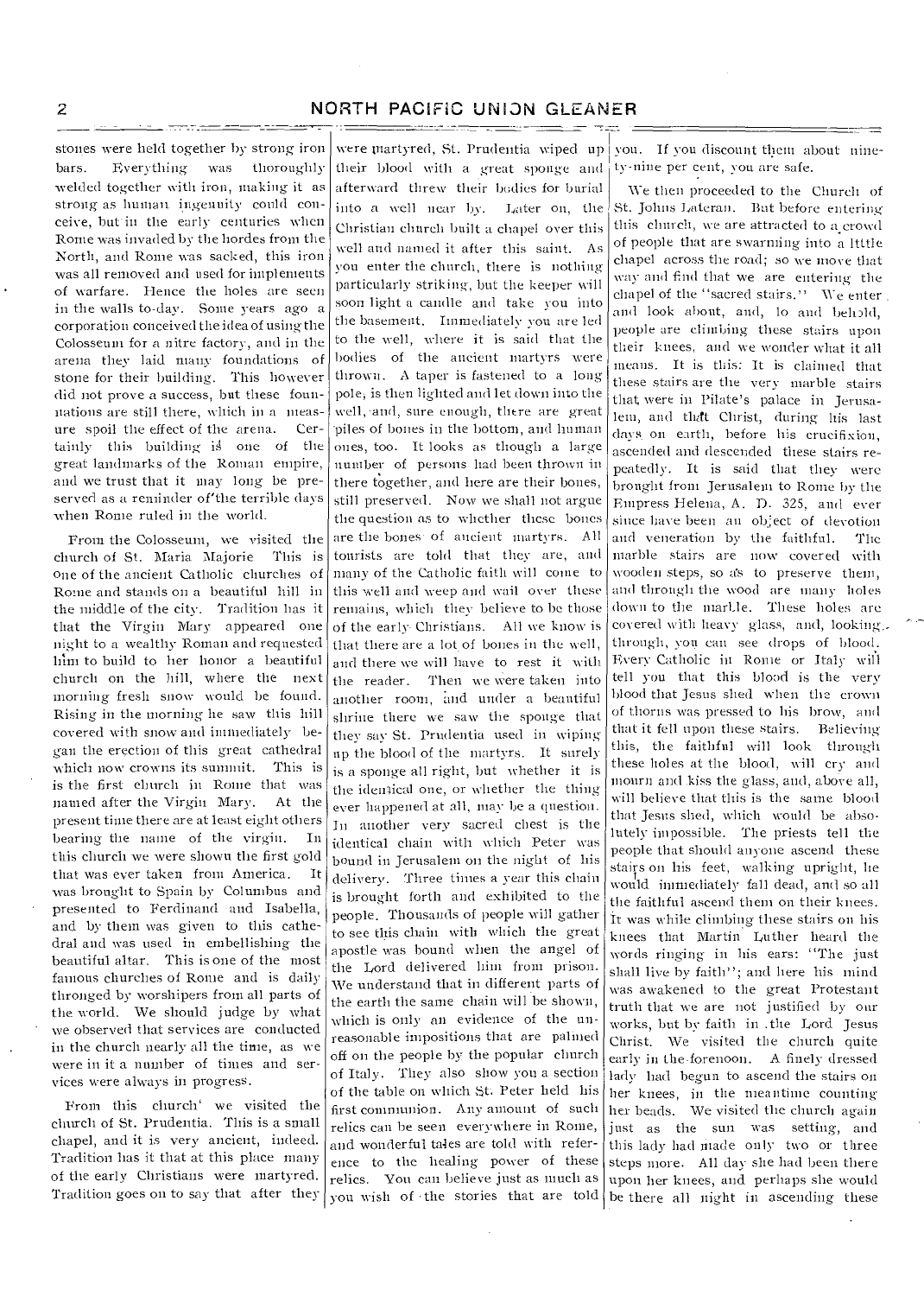### 2 NORTH PACIFIC UNION GLEANER

stones were held together by strong iron bars. Everything was thoroughly welded together with iron, making it as strong as human ingenuity could conceive, but in the early centuries when Rome was invaded by the hordes from the North, and Rome was sacked, this iron was all removed and used for implements of warfare. Hence the holes are seen in the walls to-day. Some years ago a corporation conceived the idea of using the Colosseum for a nitre factory, and in the arena they laid many foundations of stone for their building. This however did not prove a success, but these founnations are still there, which in a measure spoil the effect of the arena. Certainly this building is one of the great landmarks of the Roman empire, and we trust that it may long be preserved as a reminder of'the terrible days when Rome ruled in the world.

From the Colosseum, we visited the church of St. Maria Majorie This is one of the ancient Catholic churches of Rome and stands on a beautiful hill in the middle of the city. Tradition has it that the Virgin Mary appeared one night to a wealthy Roman and requested him to build to her honor a beautiful church on the hill, where the next morning fresh snow would be found. Rising in the morning he saw this hill covered with snow and immediately began the erection of this great cathedral which now crowns its summit. This is is the first church in Rome that was named after the Virgin Mary. At the present time there are at least eight others bearing the name of the virgin. In this church we were shown the first gold that was ever taken from America. It was brought to Spain by Columbus and presented to Ferdinand and Isabella, and by them was given to this cathedral and was used in embellishing the beautiful altar. This is one of the most famous churches of Rome and is daily thronged by worshipers from all parts of the world. We should judge by what we observed that services are conducted in the church nearly all the time, as we were in it a number of times and services were always in progress.

From this church' we visited the church of St. Prudentia. This is a small chapel, and it is very ancient, indeed. Tradition has it that at this place many of the early Christians were martyred. Tradition goes on to say that after they

were martyred, St. Prudentia wiped up their blood with a great sponge and afterward threw their bodies for burial into a well near by. Later on, the Christian church built a chapel over this well and named it after this saint. As you enter the church, there is nothing Particularly striking, but the keeper will soon light a candle and take you into the basement. Immediately you are led to the well, where it is said that the bodies of the ancient martyrs were thrown. A taper is fastened to a long pole; is then lighted and let down into the well, •and, sure enough, there are great piles of bones in the bottom, and human ones, too. It looks as though a large number of persons had been thrown in there together, and here are their bones, still preserved. Now we shall not argue the question as to whether these bones are the bones of ancient martyrs. All tourists are told that they are, and many of the Catholic faith will conic to this well and weep and wail over these remains, which they believe to he those of the early- Christians. All we know is that there are a lot of bones in the well, and there we will have to rest it with the reader. Then we were taken into another room, and under a beautiful shrine there we saw the sponge that they say St. Prudentia used in wiping up the blood of the martyrs. It surely is a sponge all right, but whether it is the identical one, or whether the thing ever happened at all, may be a question. In another very sacred chest is the identical chain with which Peter was bound in Jerusalem on the night of his delivery. Three times a year this chain is brought forth and exhibited to the people. Thousands of people will gather to see this chain with which the great apostle was bound when the angel of the Lord delivered him from prison. We understand that in different parts of the earth the same chain will be shown, which is only an evidence of the unreasonable impositions that are palmed off on the people by the popular church of Italy. They also show you a section of the table on which St Peter held his first communion. Any amount of such relics can be seen everywhere in Rome, and wonderful tales are told with reference to the healing power of these relics. You can believe just as much as

you. If you discount them about ninety-nine per cent, you are safe.

you wish of the stories that are told be there all night in ascending these We then proceeded to the Church of St. Johns Lateran. But before entering this church, we are attracted to a crowd of people that are swarming into a little chapel across the road; so we move that way and find that we are entering-the chapel of the ''sacred stairs." We enter and look about, and, lo and helipld, people are climbing these stairs upon their knees, and we wonder what it all means. It is this: It is claimed that these stairs are the very marble stairs that were in Pilate's palace in Jerusalem, and that Christ, during his last days on earth, before his crucifixion, ascended and descended these stairs repeatedly. It is said that they were brought from Jerusalem to Rome by the Empress Helena, A. D. 325, and ever since have been an object of devotion and veneration by the faithful. The marble stairs are now covered with wooden steps, so a's to preserve them, and through the wood are many holes down to the marLle. These holes are covered with heavy glass, and, looking.. through, von can see drops of blood. Every Catholic in Rome or Italy will tell you that this blood is the very blood that Jesus shed when the crown of thorns was pressed to his brow, and that it fell upon these stairs. Believing this, the faithful will look through these holes at the blood, will cry and mourn and kiss the glass, and, above all, will believe that this is the same blood that Jesus shed, which would be absolutely impossible. The priests tell the people that should anyone ascend these stairs on his feet, walking upright, lie would immediately fall dead, and so all the faithful ascend them on their knees. It was while climbing these stairs on his knees that Martin Luther heard the words ringing in his ears: "The just shall live by faith"; and here his mind was awakened to the great Protestant truth that we are not justified by our works, but by faith in .the Lord Jesus Christ. We visited the church quite early in the-forenoon. A finely dressed lady had begun to ascend the stairs on her knees, in the meantime countingher heads. We visited the church again just as the sun was setting, and this lady had made only two or three steps more. All day she had been there upon her knees, and perhaps she would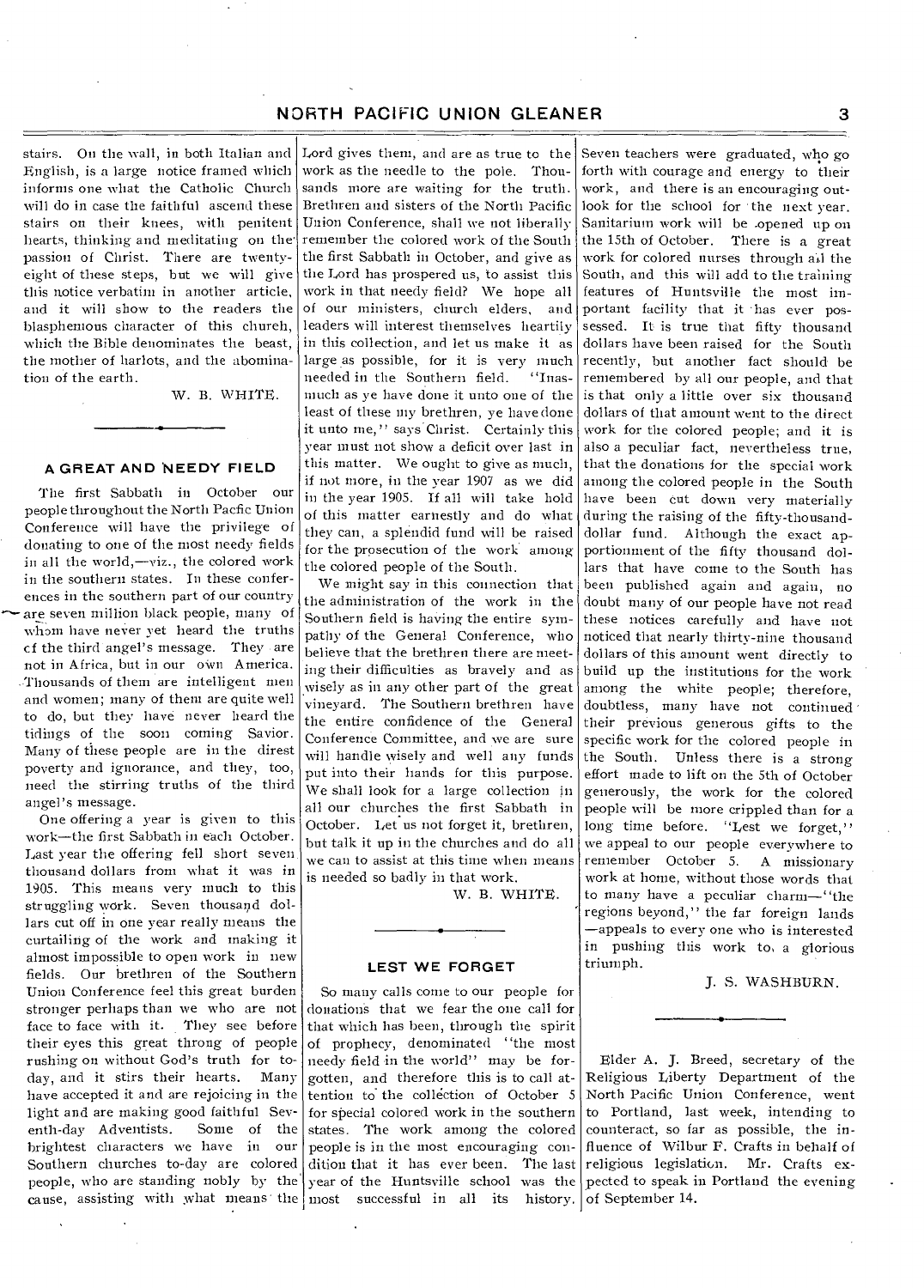stairs. On the wall, in both Italian and English, is a large notice framed which informs one what the Catholic Church will do in case the faithful ascend these stairs on their knees, with penitent hearts, thinking and meditating on the' passion of Christ. There are twentyeight of these steps, but we will give this notice verbatim in another article, and it will show to the readers the blasphemous character of this chureh, which the Bible denominates the beast, the mother of harlots, and the abomination of the earth.

W. B. WHITE.

### **A GREAT AND NEEDY FIELD**

The first Sabbath in October our people throughout the North Pacfic Union Conference will have the privilege of donating to one of the most needy fields in all the world,—viz., the colored work in the southern states. In these conferences in the southern part of our country are seven million black people, many of whom have never yet heard the truths cf the third angel's message. They are not in Africa, but in our own America. Thousands of them are intelligent men and women; many of them are quite well to do, but they have never heard the tidings of the soon coming Savior. Many of these people are in the direst poverty and ignorance, and they, too, need the stirring truths of the third angel's message.

One offering a year is given to this work—the first Sabbath in each October. Last year the offering fell short seven thousand dollars from what it was in 1905. This means very much to this struggling work. Seven thousand dollars cut off in one year really means the curtailing of the work and making it almost impossible to open work in new fields. Our brethren of the Southern Union Conference feel this great burden stronger perhaps than we who are not face to face with it. They see before their eyes this great throng of people rushing on without God's truth for today, and it stirs their hearts. Many have accepted it and are rejoicing in the light and are making good faithful Severth-day Adventists. Some of the enth-day Adventists. brightest characters we have in our Southern churches to-day are colored people, who are standing nobly by the

Lord gives them, and are as true to the work as the needle to the pole. Thousands more are waiting for the truth. Brethren and sisters of the North Pacific Union Conference, shall we not liberally remember the colored work of the South the first Sabbath in October, and give as the Lord has prospered us, to assist this work in that needy field? We hope all of our ministers, church elders, and leaders will interest themselves heartily in this collection, and let us make it as large as possible, for it is very much needed in the Southern field. "Inasneeded in the Southern field. much as ye have done it unto one of the least of these my brethren, ye have done it unto me," says Christ. Certainly this year must not show a deficit over last in this matter. We ought to give as much, if not more, in the year 1907 as we did in the year 1905. If all will take hold of this matter earnestly and do what they can, a splendid fund will be raised for the prosecution of the work among the colored people of the South.

We might say in this connection that the administration of the work in the Southern field is having the entire sympathy of the General Conference, who believe that the brethren there are meeting their difficulties as bravely and as wisely as in any other part of the great vineyard. The Southern brethren have the entire confidence of the General Conference Committee, and we are sure will handle wisely and well any funds put into their hands for this purpose. We shall look for a large collection in all our churches the first Sabbath in October. Let us not forget it, brethren, but talk it up in the churches and do all we can to assist at this time when means is needed so badly in that work.

W. B. WHITE.

### **LEST WE FORGET**

So many calls come to our people for donation's that we fear the one call for that which has been, through the spirit of prophecy, denominated "the most needy field in the world" may be forgotten, and therefore this is to call attention to the collection of October 5 for special colored work in the southern states. The work among the colored people is in the most encouraging condition that it has ever been. The last year of the Huntsville school was the pected to speak in Portland the evening cause, assisting with what means the most successful in all its history. of September 14.

Seven teachers were graduated, who go forth with courage and energy to their work, and there is an encouraging outlook for the school for the next year. Sanitarium work will be .opened up on the 15th of October. There is a great work for colored nurses through all the South, and this will add to the training features of Huntsville the most important facility that it has ever possessed. It is true that fifty thousand dollars have been raised for the South recently, but another fact should be remembered by all our people, and that is that only a little over six thousand dollars of that amount went to the direct work for the colored people; and it is also a peculiar fact, nevertheless true, that the donations for the special work among the colored people in the South have been cut down very materially during the raising of the fifty-thousanddollar fund. Although the exact apportionment of the fifty thousand dollars that have come to the South has been published again and again, no doubt many of our people have not read these notices carefully and have not noticed that nearly thirty-nine thousand dollars of this amount went directly to build up the institutions for the work among the white people; therefore, doubtless, many have not continued their previous generous gifts to the specific work for the colored people in the South. Unless there is a strong effort made to lift on the 5th of October generously, the work for the colored people will be more crippled than for a long time before. "Lest we forget," we appeal to our people everywhere to remember October 5. A missionary work at home, without those words that to many have a peculiar charm—"the regions beyond," the far foreign lands —appeals to every one who is interested in pushing this work to, a glorious triumph.

J. S. WASHBURN.

Elder A. J. Breed, secretary of the Religious Liberty Department of the North Pacific Union Conference, went to Portland, last week, intending to counteract, so far as possible, the influence of Wilbur F. Crafts in behalf of religious legislation. Mr. Crafts ex-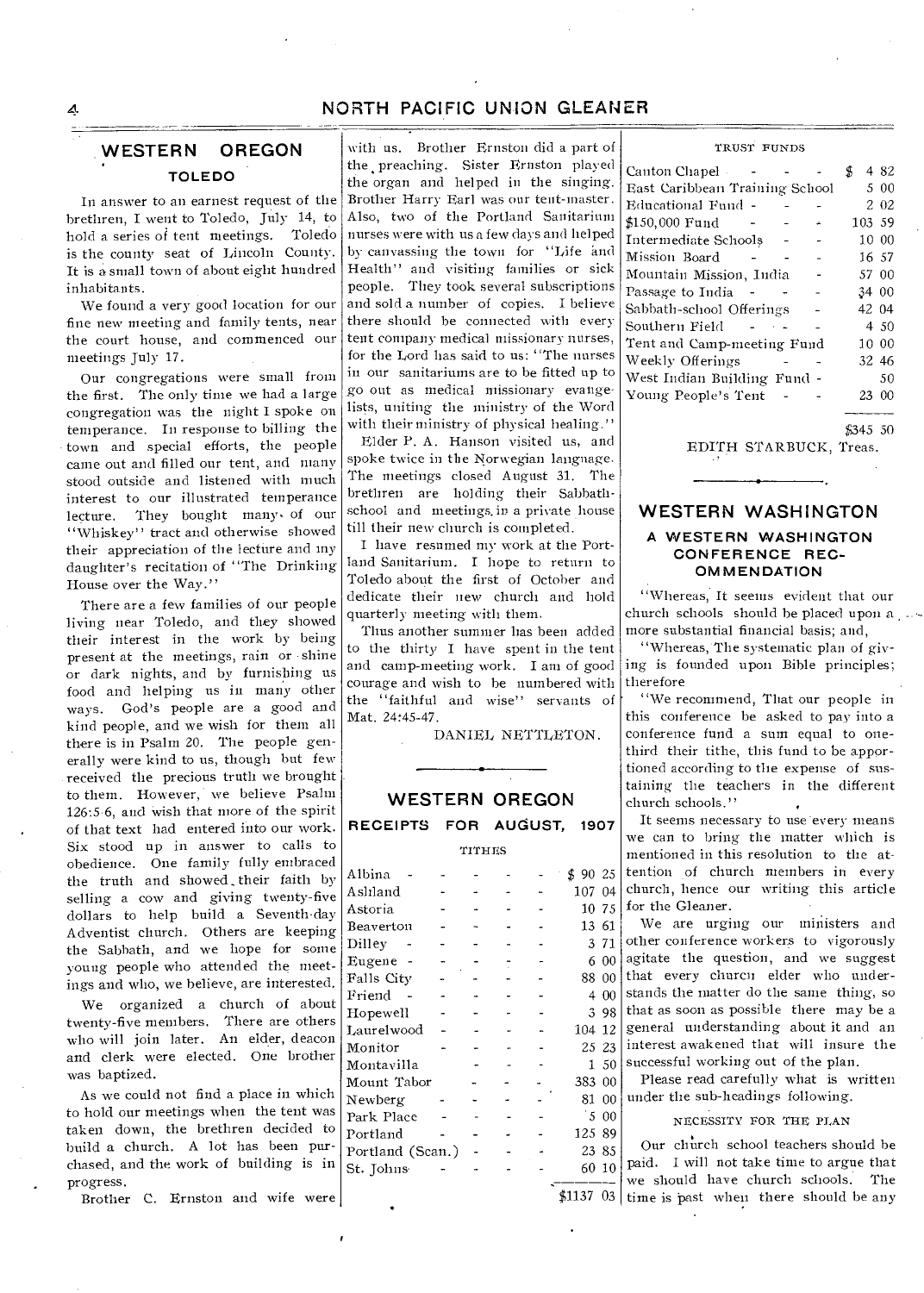### A **NORTH PACIFIC UNION GLEANER**

### **WESTERN OREGON TOLEDO**

In answer to an earnest request of the brethren, I went to Toledo, July 14, to hold a series of tent meetings. Toledo is the county seat of Lincoln County. It is a small town of about eight hundred inhabitants.

We found a very good location for our fine new meeting and family tents, near the court house, and commenced our meetings July 17.

Our congregations were small from the first. The only time we had a large congregation was the night I spoke on temperance. In response to billing the town and special efforts, the people came out and filled our tent, and many stood outside and listened with much interest to our illustrated temperance lecture. They bought many- of our "Whiskey" tract and otherwise showed their appreciation of the lecture and my daughter's recitation of "The Drinking House over the Way."

There are a few families of our people living near Toledo, and they showed their interest in the work by being present at the meetings, rain or • shine or dark nights, and by furnishing us food and helping us in many other ways. God's people are a good and kind people, and we wish for them all there is in Psalm 20. The people generally were kind to us, though but few -received the precious truth we brought to them. However, we believe Psalm 126:56, and wish that more of the spirit of that text had entered into our work. Six stood up in answer to calls to obedience. One family fully embraced the truth and showed their faith by selling a cow and giving twenty-five dollars to help build a Seventh-day Adventist church. Others are keeping the Sabbath, and we hope for some young people who attended the meetings and who, we believe, are interested.

We organized a church of about twenty-five members. There are others who will join later. An elder, deacon and clerk were elected. One brother was baptized.

As we could not find a place in which to hold our meetings when the tent was taken down, the brethren decided to build a church. A lot has been purchased, and the work of building is in progress.

Brother C. Ernston and wife were

with us. Brother Ernston did a part of the preaching. Sister Ernston played the organ and helped in the singing. Brother Harry Earl was our tent-master. Also, two of the Portland Sanitarium nurses were with us a few days and helped by canvassing the town for "Life and Health" and visiting families or sick people. They took several subscriptions and sold a number of copies. I believe there should be connected with everytent company medical missionary nurses, for the Lord has said to us: "The nurses in our sanitariums are to be fitted up to go out as medical missionary evangelists, uniting the ministry of the Word with their ministry of physical healing."

Elder P. A. Hanson visited us, and spoke twice in the Norwegian language. The meetings closed August 31. The brethren are holding their Sabbathschool and meetings. in a private house till their new church is completed.

I have resumed my work at the Portland Sanitarium. I hope to return to Toledo about the first of October and dedicate their new church and hold quarterly meeting with them.

Thus another summer has been added to the thirty I have spent in the tent and camp-meeting work. I am of good courage and wish to be numbered with the "faithful and wise" servants of Mat. 24:45-47.

DANIEL NETTLETON.

# **WESTERN OREGON**

**RECEIPTS FOR AUGUST, 1907** 

### TITHES

| Albina           |  |  | \$.<br>90 25 |       |
|------------------|--|--|--------------|-------|
| Aslıland         |  |  | 107.         | 04    |
| Astoria          |  |  |              | 10 75 |
| Beaverton        |  |  | 13 61        |       |
| Dilley           |  |  |              | 371   |
| Eugene           |  |  | 6            | 00    |
| Falls City       |  |  | 88 00        |       |
| Friend           |  |  | 4            | 00    |
| Hopewell         |  |  | 3            | -98   |
| Laurelwood       |  |  | 104 12       |       |
| Monitor          |  |  |              | 25 23 |
| Montavilla       |  |  |              | 50    |
| Mount Tabor      |  |  | 383          | 00    |
| Newberg          |  |  | 81           | 00    |
| Park Place       |  |  | 5            | 00    |
| Portland         |  |  | 125          | -89   |
| Portland (Scan.) |  |  | 23           | 85    |
| St. Johns        |  |  | 60           | 10    |
|                  |  |  |              |       |

| TRUST FUNDS |
|-------------|
|             |
|             |
|             |

| Canton Chapel -                |          |    | 4 82    |
|--------------------------------|----------|----|---------|
| East Caribbean Training School |          |    | 5 00    |
| Educational Fund -             |          |    | 2 02    |
| \$150,000 Fund                 | ÷        |    | 103 59  |
| Intermediate Schoolș           | <b>-</b> |    | 10 00   |
| Mission Board                  |          |    | 16 57   |
| Mountain Mission, India        |          |    | 57 00   |
| Passage to India               |          |    | 34 00   |
| Sabbath-school Offerings       |          |    | 42 04   |
| Southern Field                 |          |    | 4 50    |
| Tent and Camp-meeting Fund     |          |    | 10 00   |
| Weekly Offerings               |          |    | 32 46   |
| West Indian Building Fund -    |          |    | 50      |
| Young People's Tent            |          | 23 | $_{00}$ |
|                                |          |    |         |

\$345 50

EDITH STARBUCK, Treas.

### **WESTERN WASHINGTON A WESTERN WASHINGTON CONFERENCE REC-OMMENDATION**

"Whereas, It seems evident that our church schools should be placed upon a \_. more substantial financial basis; and,

"Whereas, The systematic plan of giving is founded upon Bible principles; therefore

"We recommend, That our people in this conference be asked to pay into a conference fund a sum equal to onethird their tithe, this fund to be apportioned according to the expense of sustaining the teachers in the different church schools."

It seems necessary to use every means we can to bring the matter which is mentioned in this resolution to the attention of church members in every church, hence our writing this article  $\sigma_5$  for the Gleaner.

We are urging our ministers and other conference workers to vigorously  $\alpha_0$  agitate the question, and we suggest that every churcn elder who understands the matter do the same thing, so 3 98 that as soon as possible there may be a 104 12 general understanding about it and an  $25 \t23$  interest awakened that will insure the  $-$  1 50 successful working out of the plan.

Please read carefully what is written under the sub-headings following.

### NECESSITY FOR THE PLAN

 $$1137$  03 time is past when there should be any Our church school teachers should be paid. I will not take time to argue that we should have church schools. The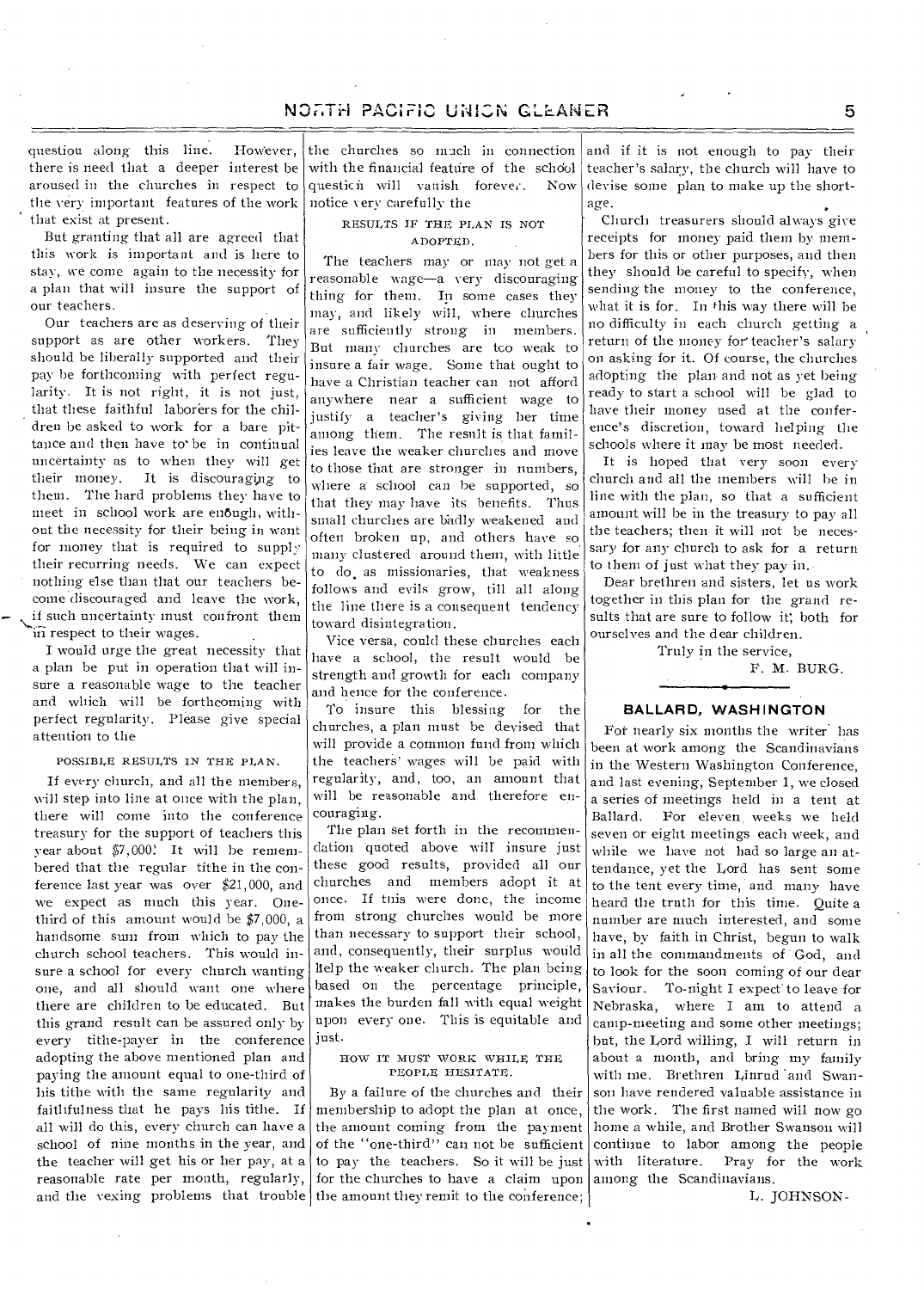question along this line. However, there is need that a deeper interest be aroused in the churches in respect to the very important features of the work that exist at present.

But granting that all are agreed that this work is important and is here to stay, we come again to the necessity for a plan that will insure the support of our teachers.

Our teachers are as deserving of their support as are other workers. They should be liberally supported and their pay be forthcoming with perfect regularity. It is not right, it is not just, that these faithful laborers for the children be asked to work for a hare pittance and then have to' be in continual uncertainty as to when they will get their money. It is discouraging to them. The hard problems they have to meet in school work are enough, without the necessity for their being in want for money that is required to supply their recurring needs. We can expect nothing else than that our teachers become discouraged and leave the work, if such uncertainty must confront them in respect to their wages.

I would urge the great necessity that a plan be put in operation that will insure a reasonable wage to the teacher and which will be forthcoming with perfect regularity. Please give special attention to the

#### POSSIBLE RESULTS IN THE PLAN.

If every church, and all the members, will step into line at once with the plan, there will come into the conference treasury for the support of teachers this year about  $$7,000$ ! It will be remembered that the regular tithe in the conference last year was over \$21,000, and we expect as much this year. Onethird of this amount would be \$7,000, a handsome sum from which to pay the church school teachers. This would insure a school for every church wanting one, and all should want one where there are children to be educated. But this grand result can be assured only by every tithe-payer in the conference adopting the above mentioned plan and paying the amount equal to one-third of his tithe with the same regularity and faithfulness that he pays his tithe. If all will do this, every church can have a school of nine months in the year, and the teacher will get his or her pay, at a

the churches so mach in connection with the financial feature of the school questicii will vanish forever. Now notice very carefully the

### RESULTS IF' THE PLAN IS NOT ADOPTED.

The teachers may or may not get a reasonable wage—a very discouraging thing for them. In some cases they may, and likely will, where churches are sufficiently strong in members. But many churches are tco weak to insure a fair wage. Some that ought to have a Christian teacher can not afford anywhere near a sufficient wage to justify a teacher's giving her time among them. The result is that families leave the weaker churches and move to those that are stronger in numbers, where a school can be supported, so that they may have its benefits. Thus small churches are badly weakened and often broken up, and others have so, many clustered around them, with little to do, as missionaries, that weakness follows and evils grow, till all along the line there is a consequent tendency toward disintegration.

Vice versa, could these churches each have a school, the result would be strength and growth for each company and hence for the conference.

To insure this blessing for the churches, a plan must be devised that will provide a common fund from which the teachers' wages will be paid with regularity, and, too, an amount that will be reasonable and therefore encouraging.

The plan set forth in the recommendation quoted above will insure just these good results, provided all our churches and members adopt it at once. If tnis were done, the income from strong churches would be more than necessary to support their school, and, consequently, their surplus would help the weaker church. The plan being based on the percentage principle, makes the burden fall with equal weight upon every one. This is equitable and just.

#### HOW IT MUST WORK WHILE THE PEOPLE HESITATE.

reasonable rate per month, regularly, for the churches to have a claim upon and the vexing problems that trouble the amount they remit to the conference; By a failure of the churches and their membership to adopt the plan at once, the amount coming from the payment of the ''one-third" can not be sufficient to pay the teachers. So it will be just

and if it is not enough to pay- their teacher's salary, the church will have to devise some plan to make up the shortage.

Church treasurers should always give receipts for money paid them by members for this or other purposes, and then they should be careful to specify, when sending the money to the conference, what it is for. In this way there will be no difficulty in each church getting a return of the money for'teacher's salary on asking for it. Of course, the churches adopting the plan. and not as yet being ready to start a school will be glad to have their money used at the conference's discretion, toward helping the schools where it may be most needed.

It is hoped that very soon every church and all the members will be in line with the plan, so that a sufficient amount will be in the treasury to pay all the teachers; then it will not be necessary for any church to ask for a return to them of just what they pay in.

Dear brethren and sisters, let us work together in this plan for the grand results that are sure to follow it; both for ourselves and the dear children.

Truly in the service,

F. M. BURG.

### **BALLAR D, WASHINGTON**

For nearly six months the writer<sup>'</sup> has been at work among the Scandinavians in the Western Washington Conference, and last evening, September 1, we closed a series of meetings held in a tent at Ballard. For eleven, weeks we held seven or eight meetings each week, and while we have not had so large an attendance, yet the Lord has sent some to the tent every time, and many have heard the truth for this time. Quite a number are much interested, and some have, by faith in Christ, begun to walk in all the commandments of 'God, and to look for the soon coming of our dear Saviour. To-night I expect to leave for Nebraska, where I am to attend a camp-meeting and some other meetings; but, the Lord willing, I will return in about a month, and bring my family with me. Brethren Linrud and Swanson have rendered valuable assistance in the work. The first named will now go home a while, and Brother Swanson will continue to labor among the people with literature. Pray for the work among the Scandinavians.

L. JOHNSON-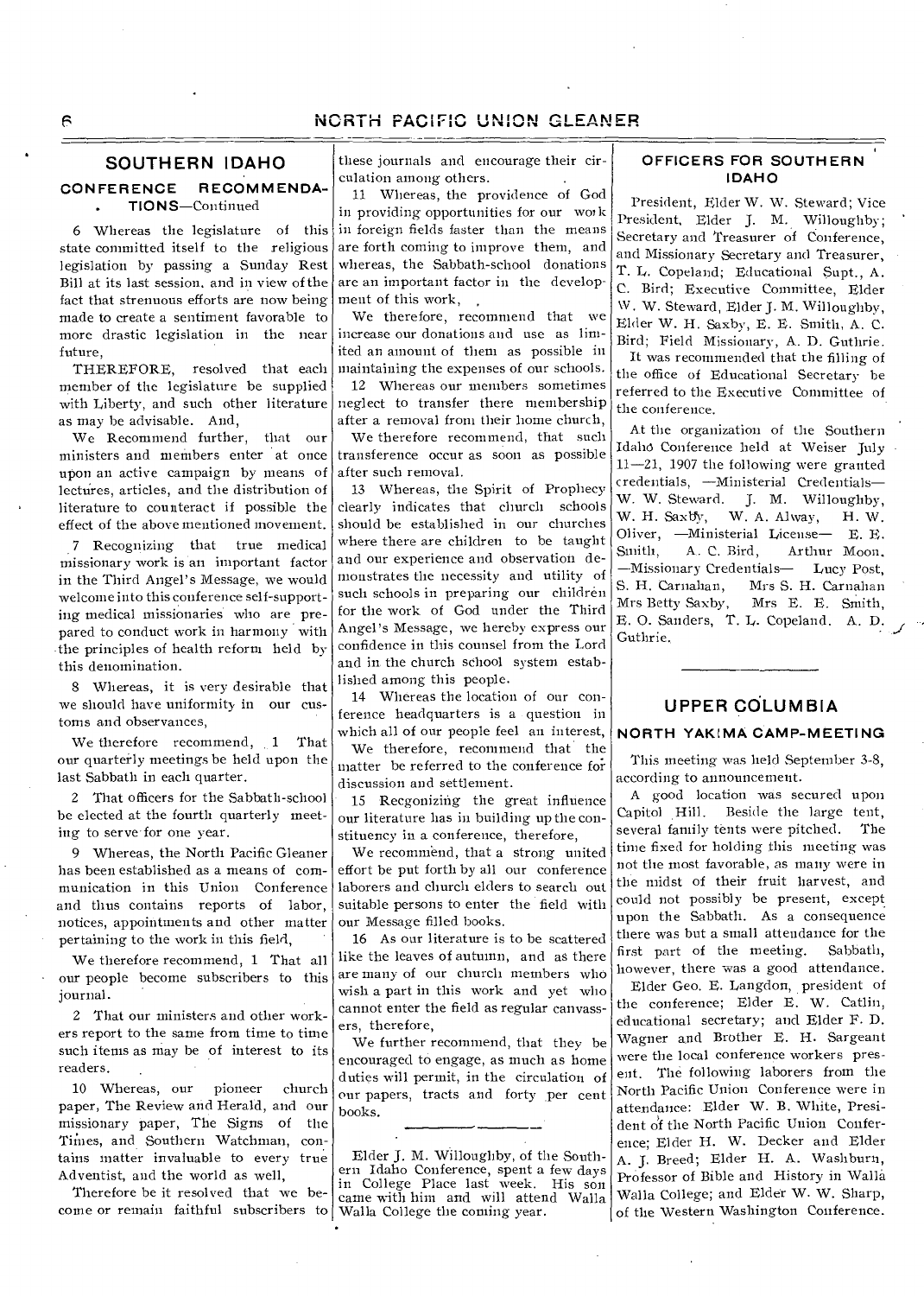## NORTH PACIFIC UNION GLEANER

### **SOUTHERN IDAHO**

### **CONFERENCE RECOMMENDA-TIONS—Continued**

6 Whereas the legislature of this state committed itself to the religious legislation by passing a Sunday Rest Bill at its last session, and in view of the fact that strenuous efforts are now being made to create a sentiment favorable to more drastic legislation in the near increase our donations and use as limfuture,

THEREFORE, resolved that each member of the legislature be supplied as may be advisable. And,

We Recommend further, that our ministers and members enter 'at once upon an active campaign by means of lectures, articles, and the distribution of literature to counteract if possible the effect of the above mentioned movement.

7 Recognizing that true medical missionary work is an important factor in the Third Angel's Message, we would welcome into this conference self-supporting medical missionaries who are prepared to conduct work in harmony with the principles of health reform held by this denomination.

8 Whereas, it is very desirable that we should have uniformity in our customs and observances,

We therefore recommend, 1 That our quarterly meetings be held upon the last Sabbath in each quarter.

2 That officers for the Sabbath-school be elected at the fourth quarterly meeting to serve for one year.

9 Whereas, the North Pacific Gleaner has been established as a means of communication in this Union Conference and thus contains reports of labor, notices, appointments and other matter pertaining to the work in this field,

We therefore recommend, 1 That all our people become subscribers to this journal.

2 That our ministers and other workers report to the same from time to time such items as may be of interest to its readers.

10 Whereas, our pioneer church paper, The Review and Herald, and our missionary paper, The Signs of the Times, and Southern Watchman, contains matter invaluable to every true Adventist, and the world as well,

Therefore be it resolved that we become or remain faithful subscribers to Walla College the coming year.

these journals and encourage their circulation among others.

11 Whereas, the providence of God in providing opportunities for our wou k in foreign fields faster than the means are forth coming to improve them, and whereas, the Sabbath-school donations are an important factor in the development of this work,

We therefore, recommend that we ited an amount of them as possible in maintaining the expenses of our schools.

with Liberty, and such other literature neglect to transfer there membership 12 Whereas our members sometimes after a removal from their home church,

> We therefore recommend, that such transference occur as soon as possible after such removal.

13 Whereas, the Spirit of Prophecy clearly indicates that church schools should be established in our churches where there are children to be taught and our experience and observation demonstrates the necessity and utility of such schools in preparing our children for the work of God under the Third Angel's Message, we hereby express our confidence in this counsel from the Lord and in the church school system established among this people.

14 Whereas the location of our conference headquarters is a question in which all of our people feel an interest,

We therefore, recommend that the matter be referred to the conference foidiscussion and settlement.

15 Recgonizing the great influence our literature has in building up the constituency in a conference, therefore,

We recommend, that a strong united effort be put forth by all our conference laborers and church elders to search out suitable persons to enter the field with our Message filled books.

16 As our literature is to be scattered like the leaves of autumn, and as there are many of our church members who wish a part in this work and yet who cannot enter the field as regular canvassers, therefore,

We further recommend, that they be encouraged to engage, as much as home duties will permit, in the circulation of our papers, tracts and forty per cent books.

Elder J. M. Willoughby, of the Southern Idaho Conference, spent a few days in College Place last week. His son came with him and will attend Walla

### **OFFICERS FOR SOUTHERN IDAHO**

President, Elder W. W. Steward; Vice President, Elder J. M. Willoughby; Secretary and Treasurer of Conference, and Missionary Secretary and Treasurer, T. L. Copeland; Educational Supt., A. C. Bird; Executive Committee, Elder \V. W. Steward, Elder J. M. Willoughby, Elder W. H. Saxby, E. E. Smith, A. C. Bird; Field Missionary, A. D. Guthrie.

It was recommended that the filling of the office of Educational Secretary be referred to the Executive Committee of the conference.

At the organization of the Southern Idaho Conference held at Weiser July 11-21, 1907 the following were granted credentials, —Ministerial Credentials— W. W. Steward. J. M. Willoughby, W. H. Saxby, W. A. Alway, H. W. Oliver, —Ministerial License— E. E. Smith, A. C. Bird, Arthur Moon. —Missionary Credentials— Lucy Post, Mrs S. H. Carnahan Mrs Betty Saxby, Mrs E. E. Smith, E. O. Sanders, T. L. Copeland. A. D. Guthrie..

### **UPPER COLUMBIA**

### **NORTH YAKIMA CAMP-MEETING**

This meeting was held September 3-8, according to announcement.

A good location was secured upon Capitol Hill. Beside the large tent, several family tents were pitched. The time fixed for holding this meeting was not the most favorable, as many were in the midst of their fruit harvest, and could not possibly be present, except upon the Sabbath. As a consequence there was but a small attendance for the first part of the meeting. Sabbath, however, there was a good attendance. Elder Geo. E. Langdon, president of the conference; Elder E. W. Catlin, educational secretary; and Elder F. D. Wagner and Brother E. H. Sargeant were the local conference workers present. The following laborers from the North Pacific Union Conference were in attendance: Elder W. B. White, President of the North Pacific Union Conference; Elder H. W. Decker and Elder A. J. Breed; Elder H. A. Washburn, Professor of Bible and History in Walla Walla College; and Elder W. W. Sharp, of the Western Washington Conference.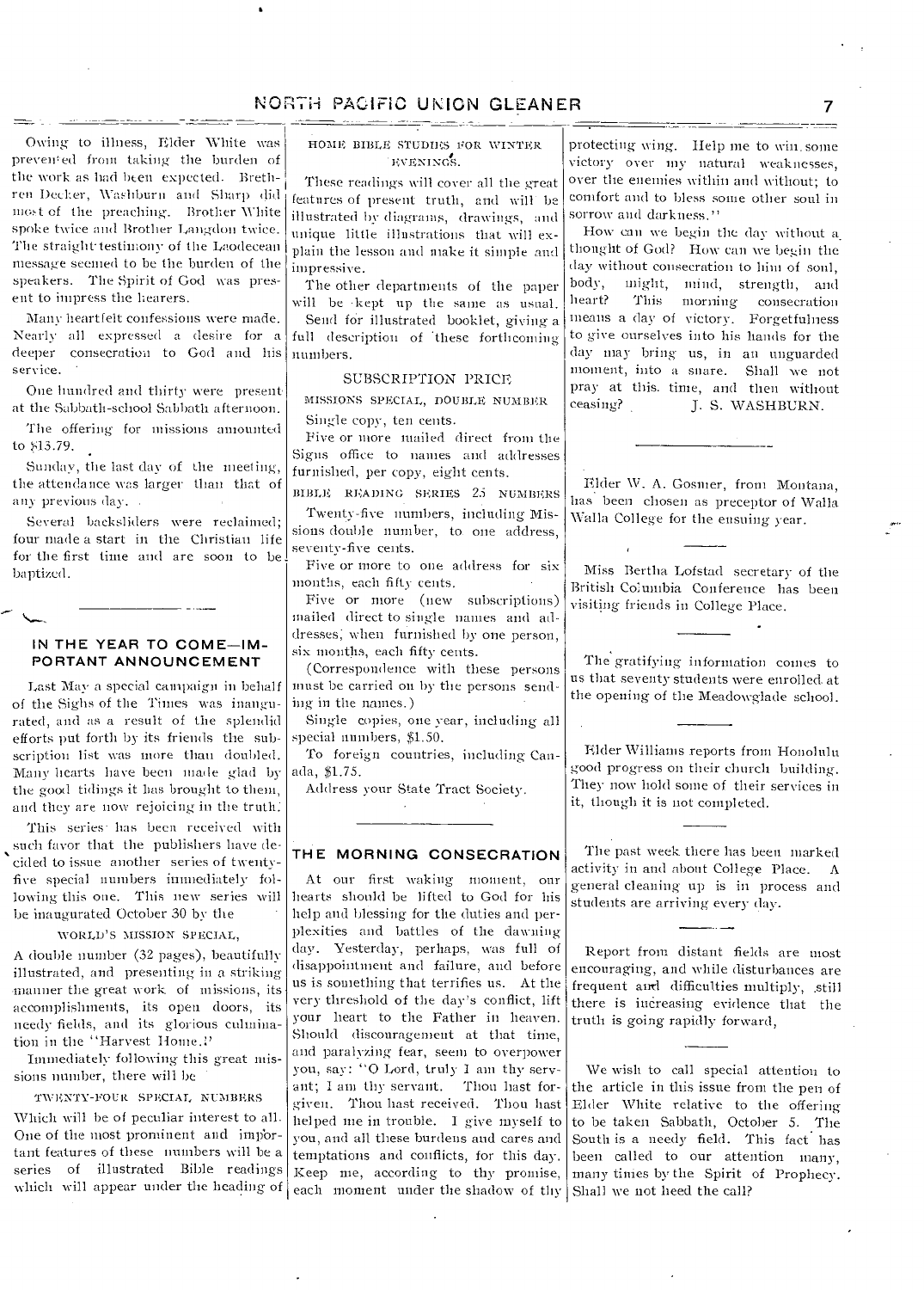### NORTH PACIFIC UNION GLEANER 7

Owing to illness, Elder White was prevented from taking the burden of the work as had been expected. Brethren Decker, Washburn and Sharp did most of the preaching-. Brother White spoke twice and Brother Langdon twice. The straight-testimony of the Laodecean message seemed to be the burden of the speakers. The Spirit of God was present to impress the hearers.

Many heartfelt confessions were made. Nearly all expressed a desire for a deeper consecration to God and Ins service.

One hundred and thirty were present at the Sabbath-school Sabbath afternoon.

The offering-for missions amounted to b13.79.

Sunday, the last day of the meeting, the attendance was larger than that of any previous day. .

Several backsliders were reclaimed; four made a start in the Christian life for the first time and are soon to be baptized.

### **IN THE YEAR TO COME—IM-PORTANT ANNOUNCEMENT**

Last May a special campaign in behalf of the Sighs of the Times was inaugurated, and as a result of the splendid efforts put forth by its friends the subscription list was more than doubled. Many hearts have been made glad by the good tidings it has brought to them, and they are now rejoicing in the truth:

This series has been received with such favor that the publishers have decided to issue another series of twentyfive special numbers immediately following this one. This new series will be inaugurated October 30 by the

WORLD'S MISSION SPECIAL,

A double number (32 pages), beautifully illustrated, and presenting in a striking manner the great work of missions, its accomplishments, its open doors, its needy fields, and its glorious culmination in the "Harvest Home."

Immediately following this great missions number, there will be

TWENTY-FOUR SPECIAL NUMBERS

Which will be of peculiar interest to all. One of the most prominent and important features of these numbers will be a series of illustrated Bible readings which will appear under the heading of HOME BIBLE STUDIES FOR WINTER EVENING'S.

د ساد بست

These readings will cover all the great features of present truth, and will be illustrated by diagrams, drawings, and unique little illustrations that will explain the lesson and make it simple and impressive.

The other departments of the paper will be •kept up the same as usual.

Send for illustrated booklet, giving a full description of these forthcoming numbers.

### SUBSCRIPTION PRICE

MISSIONS SPECIAL, DOUBLE NUMBER Single copy, ten cents.

Five or more mailed direct from the Signs office to names and addresses furnished, per copy, eight cents.

BIBLE READING SERIES 25 NUMBERS Twenty-five numbers, including Missions double number, to one address, seventy-five cents.

Five or more to one address for six months, each fifty cents.

Five or more (new subscriptions) mailed direct to single names and addresses; when furnished by one person, six months, each fifty cents.

(Correspondence with these persons must be carried on by the persons sending in the names.)

Single copies, one year, including all special numbers, \$1.50.

To foreign countries, including Canada, \$1.75.

Address your State Tract Society.

### **THE MORNING CONSECRATION**

At our first waking moment, our hearts should be lifted to God for his help and blessing for the duties and perplexities and battles of the dawning day. Yesterday, perhaps, was full of disappointment and failure, and before us is something that terrifies us. At the very threshold of the day's conflict, lift your heart to the Father in heaven. Should discouragement at that time, and paralyzing fear, seem to overpower you, say: "0 Lord, truly I am thy servant; I am thy servant. Thou hast forgiven. Thou hast received. Thou hast helped me in trouble. I give myself to you, and all these burdens and cares and temptations and conflicts, for this day. Keep me, according to thy promise, each moment under the shadow of thy Shall we not heed the call?

protecting-wing. Help me to win. some victory over my natural weaknesses, over the enemies within and without; to comfort and to bless some other soul in sorrow and darkness."

How can we begin the day without a. thought of God? How can we begin the day without consecration to him of soul, body, might, mind, strength, and heart? This morning consecration means a (lay of victory. Forgetfulness to give ourselves into his hands for the day may bring us, in an unguarded moment, into a snare. Shall we not pray at this. time, and then without ceasing? J. S. WASHBURN.

Elder \V. A. Gosmer, from Montana, has been chosen as preceptor of Walla Walla College for the ensuing year.

Miss Bertha Lofstad secretary of the British Columbia Conference has been visiting friends in College Place.

The gratifying information comes to us that seventy students were enrolled. at the opening of the Meadowglade school.

Elder Williams reports from Honolulu good progress on their church building. They now hold some of their services in it, though it is not completed.

The past week there has been marked activity in and about College Place.  $\Lambda$ general cleaning up is in process and students are arriving every day.

Report from distant fields are most encouraging, and while disturbances are frequent and difficulties multiply, still there is increasing evidence that the truth is going rapidly forward,

We wish to call special attention to the article in this issue from the pen of Elder White relative to the offering to be taken Sabbath, October 5. The South is a needy field. This fact has been called to our attention many, many times by the Spirit of Prophecy.